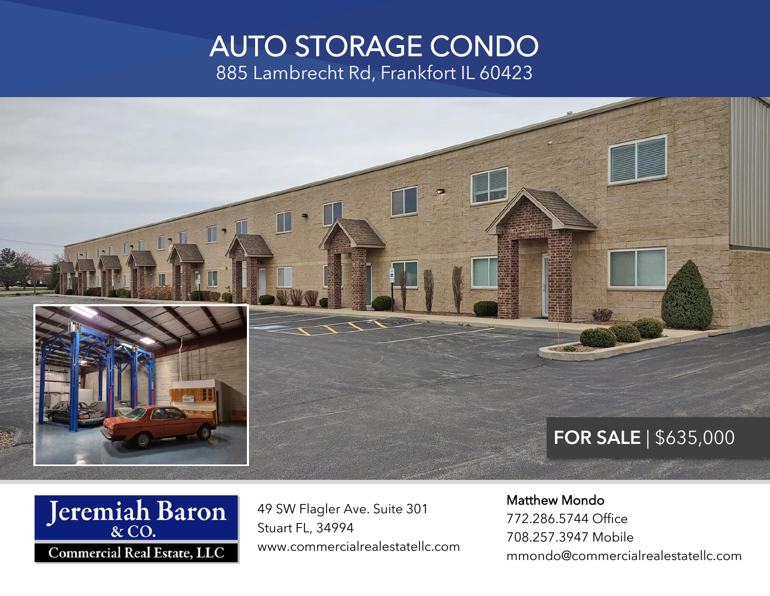#### AUTO STORAGE CONDO 885 Lambrecht Rd, Frankfort IL 60423







49 SW Flagler Ave. Suite 301 Stuart FL, 34994 www.commercialrealestatellc.com

#### Matthew Mondo

772.286.5744 Office 708.257.3947 Mobile mmondo@commercialrealestatellc.com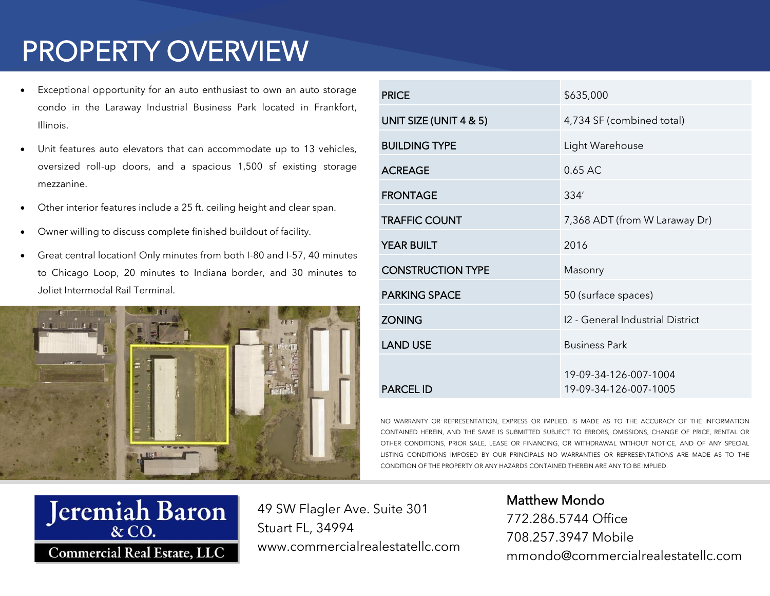## PROPERTY OVERVIEW

- Exceptional opportunity for an auto enthusiast to own an auto storage condo in the Laraway Industrial Business Park located in Frankfort, Illinois.
- Unit features auto elevators that can accommodate up to 13 vehicles, oversized roll-up doors, and a spacious 1,500 sf existing storage mezzanine.
- Other interior features include a 25 ft. ceiling height and clear span.
- Owner willing to discuss complete finished buildout of facility.
- Great central location! Only minutes from both I-80 and I-57, 40 minutes to Chicago Loop, 20 minutes to Indiana border, and 30 minutes to Joliet Intermodal Rail Terminal.



| <b>PRICE</b>             | \$635,000                                      |
|--------------------------|------------------------------------------------|
| UNIT SIZE (UNIT 4 & 5)   | 4,734 SF (combined total)                      |
| <b>BUILDING TYPE</b>     | Light Warehouse                                |
| <b>ACREAGE</b>           | 0.65 AC                                        |
| <b>FRONTAGE</b>          | 334'                                           |
| <b>TRAFFIC COUNT</b>     | 7,368 ADT (from W Laraway Dr)                  |
| <b>YEAR BUILT</b>        | 2016                                           |
| <b>CONSTRUCTION TYPE</b> | Masonry                                        |
| <b>PARKING SPACE</b>     | 50 (surface spaces)                            |
| <b>ZONING</b>            | 12 - General Industrial District               |
| <b>LAND USE</b>          | <b>Business Park</b>                           |
| <b>PARCEL ID</b>         | 19-09-34-126-007-1004<br>19-09-34-126-007-1005 |

NO WARRANTY OR REPRESENTATION, EXPRESS OR IMPLIED, IS MADE AS TO THE ACCURACY OF THE INFORMATION CONTAINED HEREIN, AND THE SAME IS SUBMITTED SUBJECT TO ERRORS, OMISSIONS, CHANGE OF PRICE, RENTAL OR OTHER CONDITIONS, PRIOR SALE, LEASE OR FINANCING, OR WITHDRAWAL WITHOUT NOTICE, AND OF ANY SPECIAL LISTING CONDITIONS IMPOSED BY OUR PRINCIPALS NO WARRANTIES OR REPRESENTATIONS ARE MADE AS TO THE CONDITION OF THE PROPERTY OR ANY HAZARDS CONTAINED THEREIN ARE ANY TO BE IMPLIED.



49 SW Flagler Ave. Suite 301 Stuart FL, 34994 www.commercialrealestatellc.com Matthew Mondo 772.286.5744 Office 708.257.3947 Mobile mmondo@commercialrealestatellc.com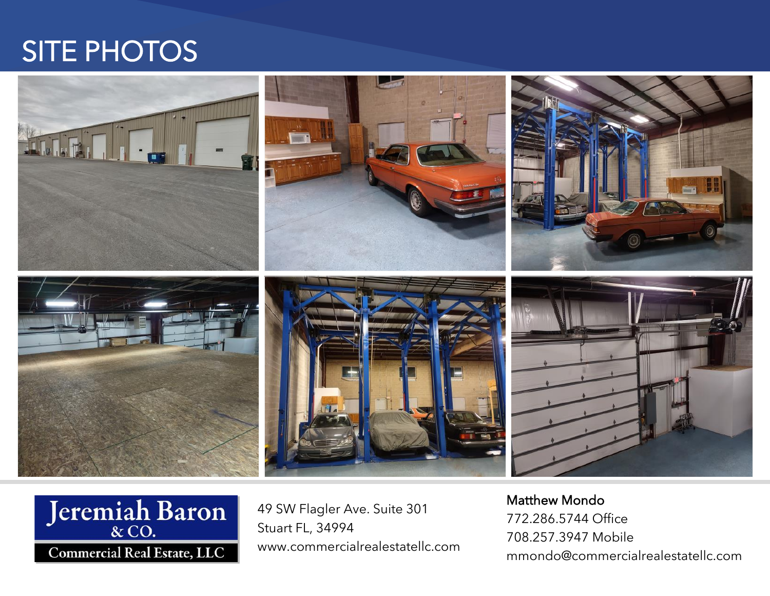### SITE PHOTOS





49 SW Flagler Ave. Suite 301 Stuart FL, 34994 www.commercialrealestatellc.com Matthew Mondo 772.286.5744 Office 708.257.3947 Mobile mmondo@commercialrealestatellc.com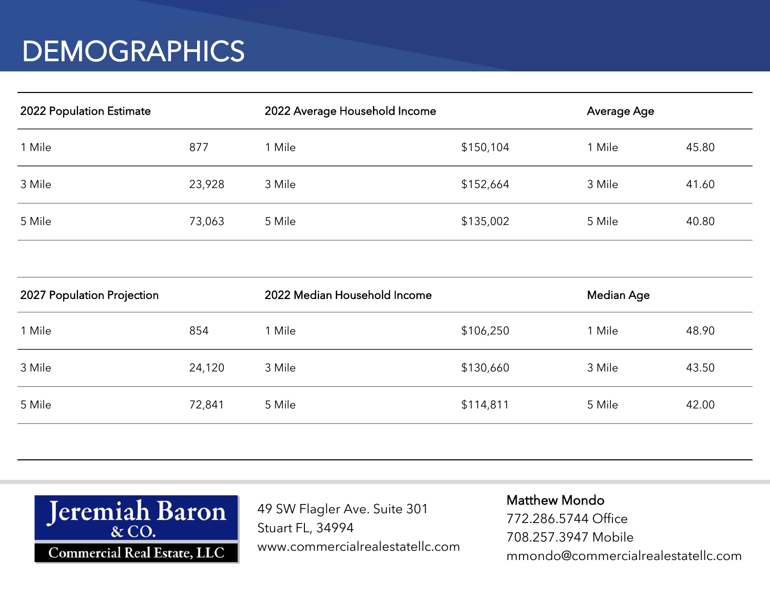### **DEMOGRAPHICS**

| 2022 Population Estimate |        | 2022 Average Household Income |           | Average Age |       |
|--------------------------|--------|-------------------------------|-----------|-------------|-------|
| 1 Mile                   | 877    | 1 Mile                        | \$150,104 | l Mile      | 45.80 |
| 3 Mile                   | 23,928 | 3 Mile                        | \$152,664 | 3 Mile      | 41.60 |
| 5 Mile                   | 73,063 | 5 Mile                        | \$135,002 | 5 Mile      | 40.80 |

| 2027 Population Projection |        | 2022 Median Household Income |           | Median Age |       |
|----------------------------|--------|------------------------------|-----------|------------|-------|
| 1 Mile                     | 854    | Mile                         | \$106,250 | 1 Mile     | 48.90 |
| 3 Mile                     | 24,120 | 3 Mile                       | \$130,660 | 3 Mile     | 43.50 |
| 5 Mile                     | 72,841 | 5 Mile                       | \$114,811 | 5 Mile     | 42.00 |
|                            |        |                              |           |            |       |



49 SW Flagler Ave. Suite 301 Stuart FL, 34994 www.commercialrealestatellc.com Matthew Mondo 772.286.5744 Office 708.257.3947 Mobile mmondo@commercialrealestatellc.com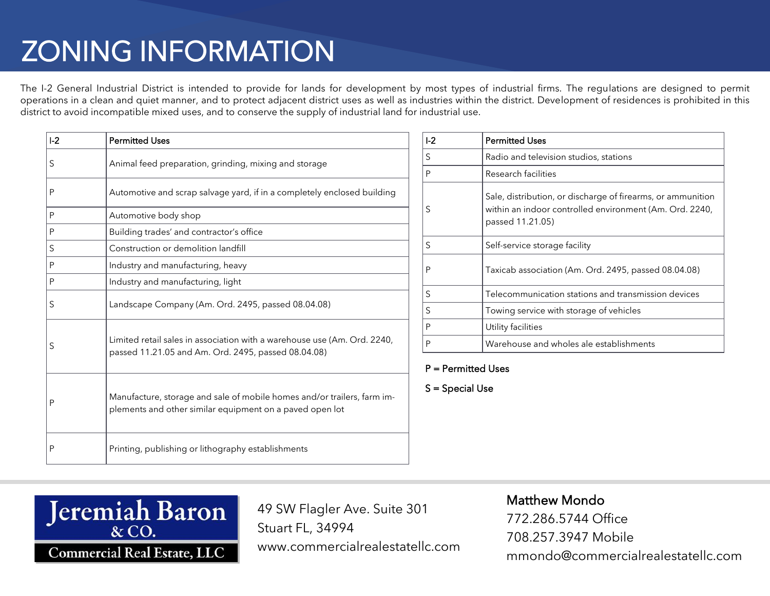# ZONING INFORMATION

The I-2 General Industrial District is intended to provide for lands for development by most types of industrial firms. The regulations are designed to permit operations in a clean and quiet manner, and to protect adjacent district uses as well as industries within the district. Development of residences is prohibited in this district to avoid incompatible mixed uses, and to conserve the supply of industrial land for industrial use.

| $I-2$ | <b>Permitted Uses</b>                                                                                                               |
|-------|-------------------------------------------------------------------------------------------------------------------------------------|
| S     | Animal feed preparation, grinding, mixing and storage                                                                               |
| P     | Automotive and scrap salvage yard, if in a completely enclosed building                                                             |
| P     | Automotive body shop                                                                                                                |
| P     | Building trades' and contractor's office                                                                                            |
| S     | Construction or demolition landfill                                                                                                 |
| P     | Industry and manufacturing, heavy                                                                                                   |
| P     | Industry and manufacturing, light                                                                                                   |
| S     | Landscape Company (Am. Ord. 2495, passed 08.04.08)                                                                                  |
| S     | Limited retail sales in association with a warehouse use (Am. Ord. 2240,<br>passed 11.21.05 and Am. Ord. 2495, passed 08.04.08)     |
| P     | Manufacture, storage and sale of mobile homes and/or trailers, farm im-<br>plements and other similar equipment on a paved open lot |
| Ρ     | Printing, publishing or lithography establishments                                                                                  |

| L <sub>2</sub> | <b>Permitted Uses</b>                                                                                                                      |
|----------------|--------------------------------------------------------------------------------------------------------------------------------------------|
| S              | Radio and television studios, stations                                                                                                     |
| P              | Research facilities                                                                                                                        |
| S              | Sale, distribution, or discharge of firearms, or ammunition<br>within an indoor controlled environment (Am. Ord. 2240,<br>passed 11.21.05) |
| S              | Self-service storage facility                                                                                                              |
| P              | Taxicab association (Am. Ord. 2495, passed 08.04.08)                                                                                       |
| S              | Telecommunication stations and transmission devices                                                                                        |
| S              | Towing service with storage of vehicles                                                                                                    |
| P              | Utility facilities                                                                                                                         |
| P              | Warehouse and wholes ale establishments                                                                                                    |

#### P = Permitted Uses

S = Special Use



49 SW Flagler Ave. Suite 301 Stuart FL, 34994 www.commercialrealestatellc.com

#### Matthew Mondo

772.286.5744 Office 708.257.3947 Mobile mmondo@commercialrealestatellc.com